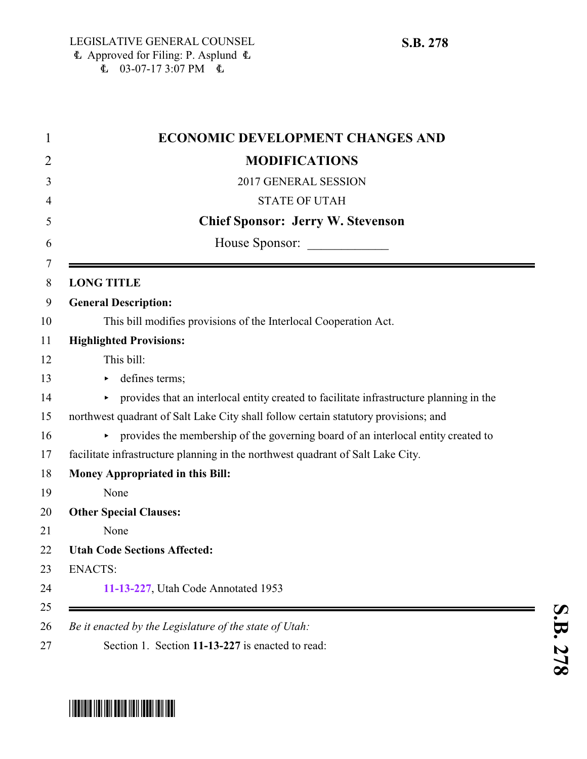| <b>ECONOMIC DEVELOPMENT CHANGES AND</b>                                                 |
|-----------------------------------------------------------------------------------------|
| <b>MODIFICATIONS</b>                                                                    |
| 2017 GENERAL SESSION                                                                    |
| <b>STATE OF UTAH</b>                                                                    |
| <b>Chief Sponsor: Jerry W. Stevenson</b>                                                |
|                                                                                         |
| <b>LONG TITLE</b>                                                                       |
| <b>General Description:</b>                                                             |
| This bill modifies provisions of the Interlocal Cooperation Act.                        |
| <b>Highlighted Provisions:</b>                                                          |
| This bill:                                                                              |
| defines terms;                                                                          |
| provides that an interlocal entity created to facilitate infrastructure planning in the |
| northwest quadrant of Salt Lake City shall follow certain statutory provisions; and     |
| • provides the membership of the governing board of an interlocal entity created to     |
| facilitate infrastructure planning in the northwest quadrant of Salt Lake City.         |
| Money Appropriated in this Bill:                                                        |
| None                                                                                    |
| <b>Other Special Clauses:</b>                                                           |
| None                                                                                    |
| <b>Utah Code Sections Affected:</b>                                                     |
| <b>ENACTS:</b>                                                                          |
| 11-13-227, Utah Code Annotated 1953                                                     |

## <span id="page-0-0"></span>\* SB027878 TO THE TIME TO THE TIME TO THE TIME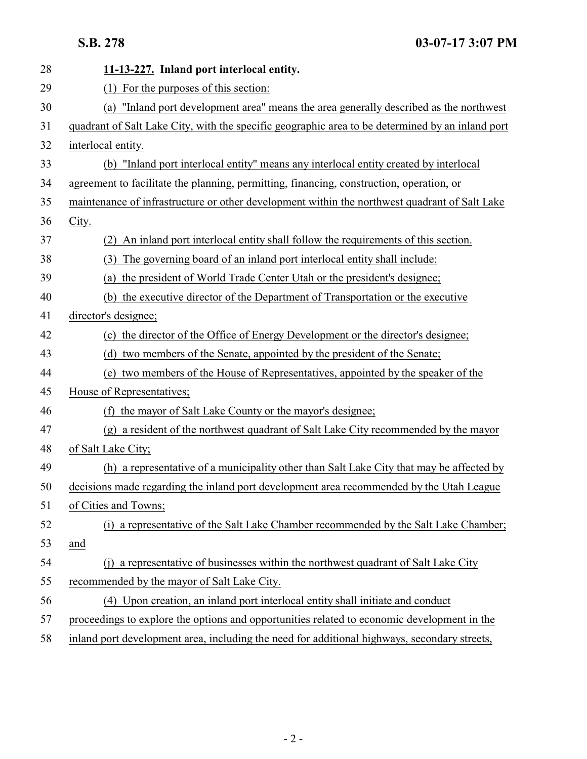| 28 | 11-13-227. Inland port interlocal entity.                                                        |
|----|--------------------------------------------------------------------------------------------------|
| 29 | (1) For the purposes of this section:                                                            |
| 30 | "Inland port development area" means the area generally described as the northwest<br>(a)        |
| 31 | quadrant of Salt Lake City, with the specific geographic area to be determined by an inland port |
| 32 | interlocal entity.                                                                               |
| 33 | (b) "Inland port interlocal entity" means any interlocal entity created by interlocal            |
| 34 | agreement to facilitate the planning, permitting, financing, construction, operation, or         |
| 35 | maintenance of infrastructure or other development within the northwest quadrant of Salt Lake    |
| 36 | City.                                                                                            |
| 37 | An inland port interlocal entity shall follow the requirements of this section.<br>(2)           |
| 38 | The governing board of an inland port interlocal entity shall include:<br>(3)                    |
| 39 | (a) the president of World Trade Center Utah or the president's designee;                        |
| 40 | (b) the executive director of the Department of Transportation or the executive                  |
| 41 | director's designee;                                                                             |
| 42 | (c) the director of the Office of Energy Development or the director's designee;                 |
| 43 | (d) two members of the Senate, appointed by the president of the Senate;                         |
| 44 | (e) two members of the House of Representatives, appointed by the speaker of the                 |
| 45 | House of Representatives;                                                                        |
| 46 | the mayor of Salt Lake County or the mayor's designee;<br>(f)                                    |
| 47 | (g) a resident of the northwest quadrant of Salt Lake City recommended by the mayor              |
| 48 | of Salt Lake City;                                                                               |
| 49 | (h) a representative of a municipality other than Salt Lake City that may be affected by         |
| 50 | decisions made regarding the inland port development area recommended by the Utah League         |
| 51 | of Cities and Towns;                                                                             |
| 52 | (i) a representative of the Salt Lake Chamber recommended by the Salt Lake Chamber;              |
| 53 | and                                                                                              |
| 54 | a representative of businesses within the northwest quadrant of Salt Lake City<br>(i)            |
| 55 | recommended by the mayor of Salt Lake City.                                                      |
| 56 | (4) Upon creation, an inland port interlocal entity shall initiate and conduct                   |
| 57 | proceedings to explore the options and opportunities related to economic development in the      |
| 58 | inland port development area, including the need for additional highways, secondary streets,     |